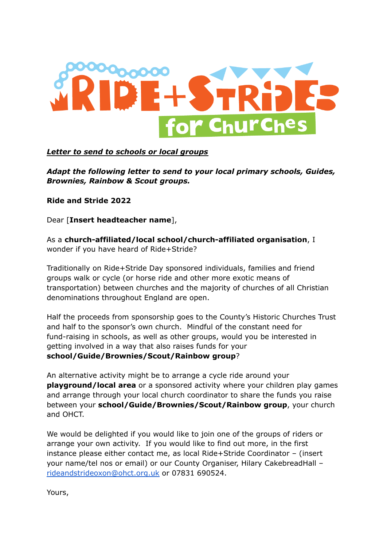

## *Letter to send to schools or local groups*

*Adapt the following letter to send to your local primary schools, Guides, Brownies, Rainbow & Scout groups.*

**Ride and Stride 2022**

Dear [**Insert headteacher name**],

As a **church-affiliated/local school/church-affiliated organisation**, I wonder if you have heard of Ride+Stride?

Traditionally on Ride+Stride Day sponsored individuals, families and friend groups walk or cycle (or horse ride and other more exotic means of transportation) between churches and the majority of churches of all Christian denominations throughout England are open.

Half the proceeds from sponsorship goes to the County's Historic Churches Trust and half to the sponsor's own church. Mindful of the constant need for fund-raising in schools, as well as other groups, would you be interested in getting involved in a way that also raises funds for your **school/Guide/Brownies/Scout/Rainbow group**?

An alternative activity might be to arrange a cycle ride around your **playground/local area** or a sponsored activity where your children play games and arrange through your local church coordinator to share the funds you raise between your **school/Guide/Brownies/Scout/Rainbow group**, your church and OHCT.

We would be delighted if you would like to join one of the groups of riders or arrange your own activity. If you would like to find out more, in the first instance please either contact me, as local Ride+Stride Coordinator – (insert your name/tel nos or email) or our County Organiser, Hilary CakebreadHall – [rideandstrideoxon@ohct.org.uk](mailto:rideandstrideoxon@ohct.org.uk) or 07831 690524.

Yours,